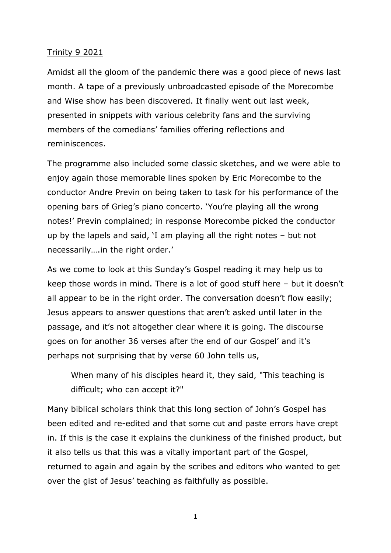## Trinity 9 2021

Amidst all the gloom of the pandemic there was a good piece of news last month. A tape of a previously unbroadcasted episode of the Morecombe and Wise show has been discovered. It finally went out last week, presented in snippets with various celebrity fans and the surviving members of the comedians' families offering reflections and reminiscences.

The programme also included some classic sketches, and we were able to enjoy again those memorable lines spoken by Eric Morecombe to the conductor Andre Previn on being taken to task for his performance of the opening bars of Grieg's piano concerto. 'You're playing all the wrong notes!' Previn complained; in response Morecombe picked the conductor up by the lapels and said, 'I am playing all the right notes – but not necessarily….in the right order.'

As we come to look at this Sunday's Gospel reading it may help us to keep those words in mind. There is a lot of good stuff here – but it doesn't all appear to be in the right order. The conversation doesn't flow easily; Jesus appears to answer questions that aren't asked until later in the passage, and it's not altogether clear where it is going. The discourse goes on for another 36 verses after the end of our Gospel' and it's perhaps not surprising that by verse 60 John tells us,

When many of his disciples heard it, they said, "This teaching is difficult; who can accept it?"

Many biblical scholars think that this long section of John's Gospel has been edited and re-edited and that some cut and paste errors have crept in. If this is the case it explains the clunkiness of the finished product, but it also tells us that this was a vitally important part of the Gospel, returned to again and again by the scribes and editors who wanted to get over the gist of Jesus' teaching as faithfully as possible.

1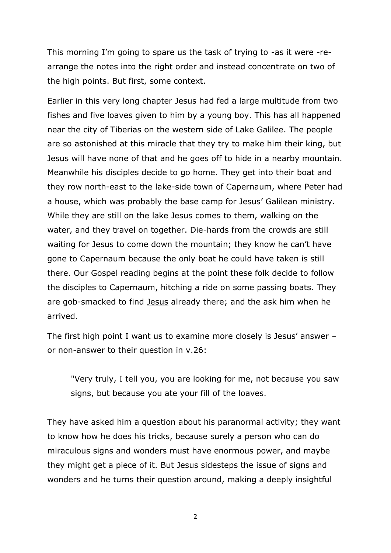This morning I'm going to spare us the task of trying to -as it were -rearrange the notes into the right order and instead concentrate on two of the high points. But first, some context.

Earlier in this very long chapter Jesus had fed a large multitude from two fishes and five loaves given to him by a young boy. This has all happened near the city of Tiberias on the western side of Lake Galilee. The people are so astonished at this miracle that they try to make him their king, but Jesus will have none of that and he goes off to hide in a nearby mountain. Meanwhile his disciples decide to go home. They get into their boat and they row north-east to the lake-side town of Capernaum, where Peter had a house, which was probably the base camp for Jesus' Galilean ministry. While they are still on the lake Jesus comes to them, walking on the water, and they travel on together. Die-hards from the crowds are still waiting for Jesus to come down the mountain; they know he can't have gone to Capernaum because the only boat he could have taken is still there. Our Gospel reading begins at the point these folk decide to follow the disciples to Capernaum, hitching a ride on some passing boats. They are gob-smacked to find Jesus already there; and the ask him when he arrived.

The first high point I want us to examine more closely is Jesus' answer – or non-answer to their question in v.26:

"Very truly, I tell you, you are looking for me, not because you saw signs, but because you ate your fill of the loaves.

They have asked him a question about his paranormal activity; they want to know how he does his tricks, because surely a person who can do miraculous signs and wonders must have enormous power, and maybe they might get a piece of it. But Jesus sidesteps the issue of signs and wonders and he turns their question around, making a deeply insightful

2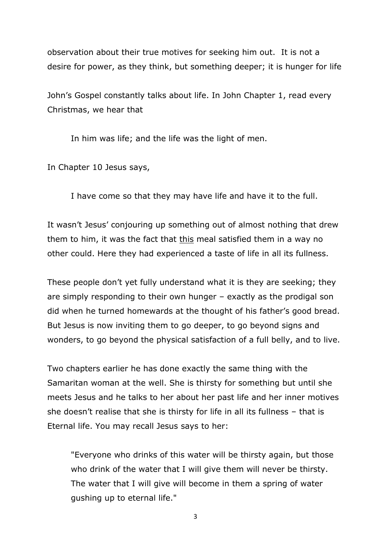observation about their true motives for seeking him out. It is not a desire for power, as they think, but something deeper; it is hunger for life

John's Gospel constantly talks about life. In John Chapter 1, read every Christmas, we hear that

In him was life; and the life was the light of men.

In Chapter 10 Jesus says,

I have come so that they may have life and have it to the full.

It wasn't Jesus' conjouring up something out of almost nothing that drew them to him, it was the fact that this meal satisfied them in a way no other could. Here they had experienced a taste of life in all its fullness.

These people don't yet fully understand what it is they are seeking; they are simply responding to their own hunger – exactly as the prodigal son did when he turned homewards at the thought of his father's good bread. But Jesus is now inviting them to go deeper, to go beyond signs and wonders, to go beyond the physical satisfaction of a full belly, and to live.

Two chapters earlier he has done exactly the same thing with the Samaritan woman at the well. She is thirsty for something but until she meets Jesus and he talks to her about her past life and her inner motives she doesn't realise that she is thirsty for life in all its fullness – that is Eternal life. You may recall Jesus says to her:

"Everyone who drinks of this water will be thirsty again, but those who drink of the water that I will give them will never be thirsty. The water that I will give will become in them a spring of water gushing up to eternal life."

3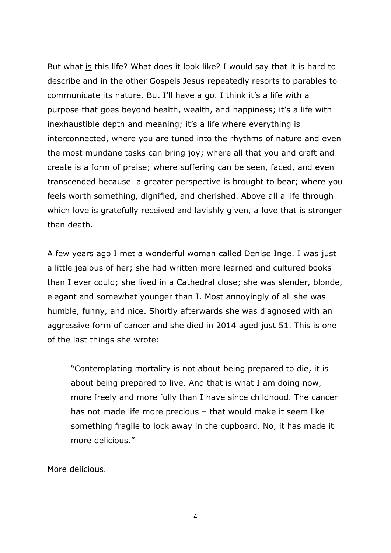But what is this life? What does it look like? I would say that it is hard to describe and in the other Gospels Jesus repeatedly resorts to parables to communicate its nature. But I'll have a go. I think it's a life with a purpose that goes beyond health, wealth, and happiness; it's a life with inexhaustible depth and meaning; it's a life where everything is interconnected, where you are tuned into the rhythms of nature and even the most mundane tasks can bring joy; where all that you and craft and create is a form of praise; where suffering can be seen, faced, and even transcended because a greater perspective is brought to bear; where you feels worth something, dignified, and cherished. Above all a life through which love is gratefully received and lavishly given, a love that is stronger than death.

A few years ago I met a wonderful woman called Denise Inge. I was just a little jealous of her; she had written more learned and cultured books than I ever could; she lived in a Cathedral close; she was slender, blonde, elegant and somewhat younger than I. Most annoyingly of all she was humble, funny, and nice. Shortly afterwards she was diagnosed with an aggressive form of cancer and she died in 2014 aged just 51. This is one of the last things she wrote:

"Contemplating mortality is not about being prepared to die, it is about being prepared to live. And that is what I am doing now, more freely and more fully than I have since childhood. The cancer has not made life more precious – that would make it seem like something fragile to lock away in the cupboard. No, it has made it more delicious."

More delicious.